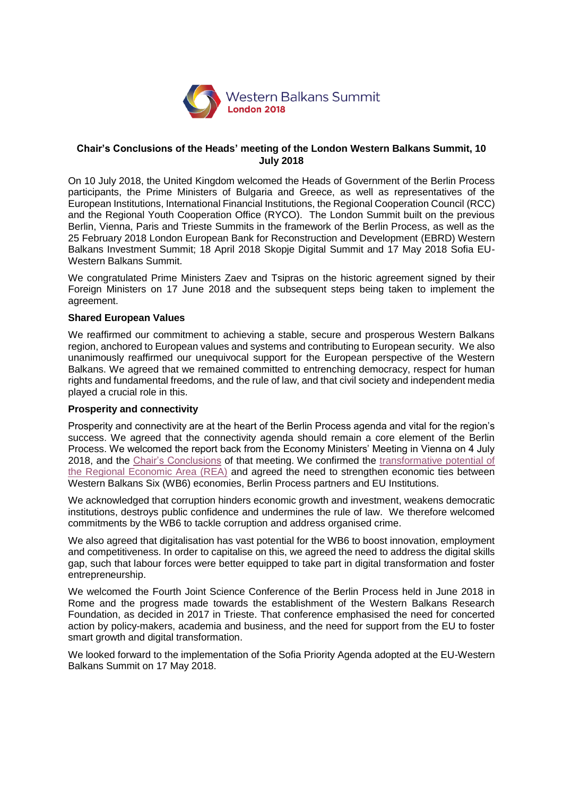

### **Chair's Conclusions of the Heads' meeting of the London Western Balkans Summit, 10 July 2018**

On 10 July 2018, the United Kingdom welcomed the Heads of Government of the Berlin Process participants, the Prime Ministers of Bulgaria and Greece, as well as representatives of the European Institutions, International Financial Institutions, the Regional Cooperation Council (RCC) and the Regional Youth Cooperation Office (RYCO). The London Summit built on the previous Berlin, Vienna, Paris and Trieste Summits in the framework of the Berlin Process, as well as the 25 February 2018 London European Bank for Reconstruction and Development (EBRD) Western Balkans Investment Summit; 18 April 2018 Skopje Digital Summit and 17 May 2018 Sofia EU-Western Balkans Summit.

We congratulated Prime Ministers Zaev and Tsipras on the historic agreement signed by their Foreign Ministers on 17 June 2018 and the subsequent steps being taken to implement the agreement.

### **Shared European Values**

We reaffirmed our commitment to achieving a stable, secure and prosperous Western Balkans region, anchored to European values and systems and contributing to European security. We also unanimously reaffirmed our unequivocal support for the European perspective of the Western Balkans. We agreed that we remained committed to entrenching democracy, respect for human rights and fundamental freedoms, and the rule of law, and that civil society and independent media played a crucial role in this.

### **Prosperity and connectivity**

Prosperity and connectivity are at the heart of the Berlin Process agenda and vital for the region's success. We agreed that the connectivity agenda should remain a core element of the Berlin Process. We welcomed the report back from the Economy Ministers' Meeting in Vienna on 4 July 2018, and the [Chair's Conclusions](https://www.gov.uk/government/publications/western-balkans-economy-ministers-meeting-4-july-2018-chairs-conclusions) of that meeting. We confirmed the [transformative potential of](https://www.rcc.int/news/403/svilanovic-notable-progress-achieved-in-the-implementation-of-multi-annual-action-plan-on-regional-economic-area-in-the-western-balkans)  [the Regional Economic Area \(REA\)](https://www.rcc.int/news/403/svilanovic-notable-progress-achieved-in-the-implementation-of-multi-annual-action-plan-on-regional-economic-area-in-the-western-balkans) and agreed the need to strengthen economic ties between Western Balkans Six (WB6) economies, Berlin Process partners and EU Institutions.

We acknowledged that corruption hinders economic growth and investment, weakens democratic institutions, destroys public confidence and undermines the rule of law. We therefore welcomed commitments by the WB6 to tackle corruption and address organised crime.

We also agreed that digitalisation has vast potential for the WB6 to boost innovation, employment and competitiveness. In order to capitalise on this, we agreed the need to address the digital skills gap, such that labour forces were better equipped to take part in digital transformation and foster entrepreneurship.

We welcomed the Fourth Joint Science Conference of the Berlin Process held in June 2018 in Rome and the progress made towards the establishment of the Western Balkans Research Foundation, as decided in 2017 in Trieste. That conference emphasised the need for concerted action by policy-makers, academia and business, and the need for support from the EU to foster smart growth and digital transformation.

We looked forward to the implementation of the Sofia Priority Agenda adopted at the EU-Western Balkans Summit on 17 May 2018.